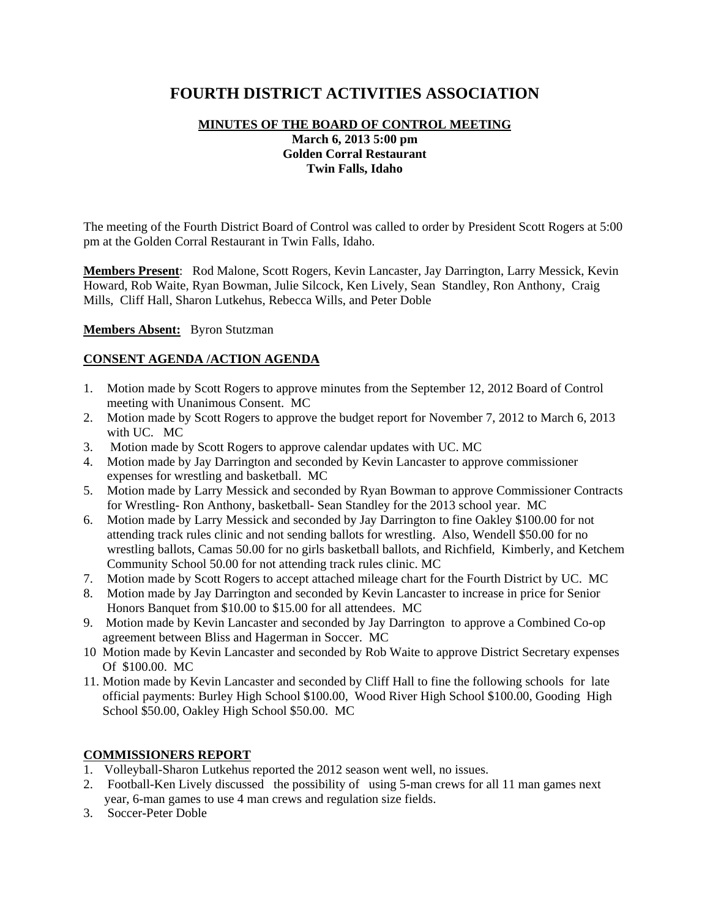# **FOURTH DISTRICT ACTIVITIES ASSOCIATION**

# **MINUTES OF THE BOARD OF CONTROL MEETING March 6, 2013 5:00 pm Golden Corral Restaurant Twin Falls, Idaho**

The meeting of the Fourth District Board of Control was called to order by President Scott Rogers at 5:00 pm at the Golden Corral Restaurant in Twin Falls, Idaho.

**Members Present**: Rod Malone, Scott Rogers, Kevin Lancaster, Jay Darrington, Larry Messick, Kevin Howard, Rob Waite, Ryan Bowman, Julie Silcock, Ken Lively, Sean Standley, Ron Anthony, Craig Mills, Cliff Hall, Sharon Lutkehus, Rebecca Wills, and Peter Doble

#### **Members Absent:** Byron Stutzman

### **CONSENT AGENDA /ACTION AGENDA**

- 1. Motion made by Scott Rogers to approve minutes from the September 12, 2012 Board of Control meeting with Unanimous Consent. MC
- 2. Motion made by Scott Rogers to approve the budget report for November 7, 2012 to March 6, 2013 with UC. MC
- 3. Motion made by Scott Rogers to approve calendar updates with UC. MC
- 4. Motion made by Jay Darrington and seconded by Kevin Lancaster to approve commissioner expenses for wrestling and basketball. MC
- 5. Motion made by Larry Messick and seconded by Ryan Bowman to approve Commissioner Contracts for Wrestling- Ron Anthony, basketball- Sean Standley for the 2013 school year. MC
- 6. Motion made by Larry Messick and seconded by Jay Darrington to fine Oakley \$100.00 for not attending track rules clinic and not sending ballots for wrestling. Also, Wendell \$50.00 for no wrestling ballots, Camas 50.00 for no girls basketball ballots, and Richfield, Kimberly, and Ketchem Community School 50.00 for not attending track rules clinic. MC
- 7. Motion made by Scott Rogers to accept attached mileage chart for the Fourth District by UC. MC
- 8. Motion made by Jay Darrington and seconded by Kevin Lancaster to increase in price for Senior Honors Banquet from \$10.00 to \$15.00 for all attendees. MC
- 9. Motion made by Kevin Lancaster and seconded by Jay Darrington to approve a Combined Co-op agreement between Bliss and Hagerman in Soccer. MC
- 10 Motion made by Kevin Lancaster and seconded by Rob Waite to approve District Secretary expenses Of \$100.00. MC
- 11. Motion made by Kevin Lancaster and seconded by Cliff Hall to fine the following schools for late official payments: Burley High School \$100.00, Wood River High School \$100.00, Gooding High School \$50.00, Oakley High School \$50.00. MC

### **COMMISSIONERS REPORT**

- 1. Volleyball-Sharon Lutkehus reported the 2012 season went well, no issues.
- 2. Football-Ken Lively discussed the possibility of using 5-man crews for all 11 man games next year, 6-man games to use 4 man crews and regulation size fields.
- 3. Soccer-Peter Doble